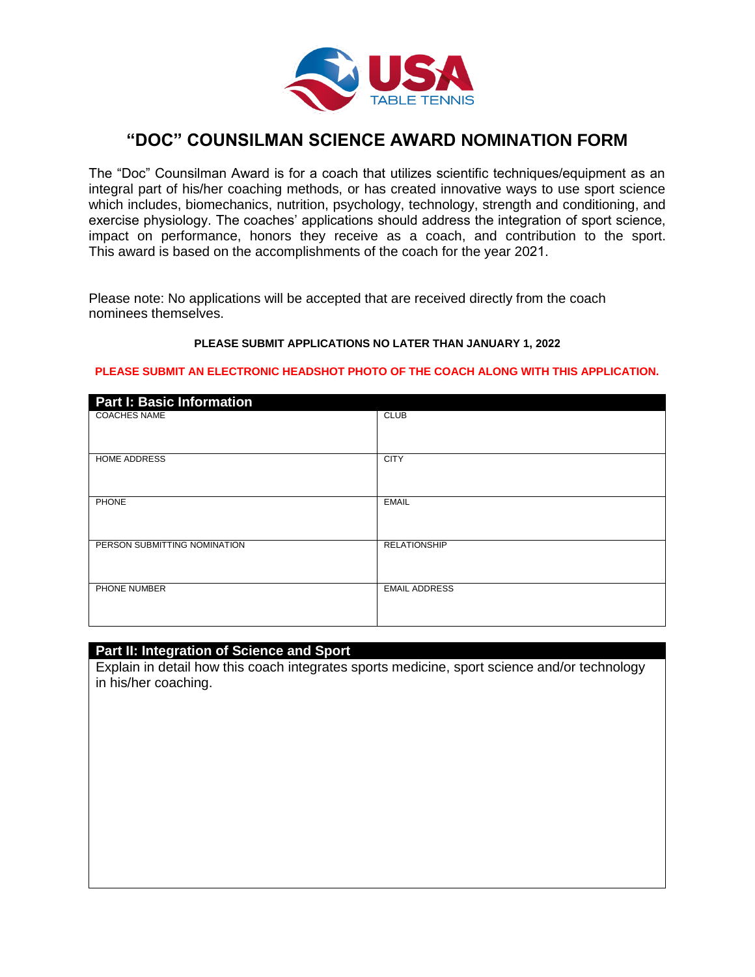

# **"DOC" COUNSILMAN SCIENCE AWARD NOMINATION FORM**

The "Doc" Counsilman Award is for a coach that utilizes scientific techniques/equipment as an integral part of his/her coaching methods, or has created innovative ways to use sport science which includes, biomechanics, nutrition, psychology, technology, strength and conditioning, and exercise physiology. The coaches' applications should address the integration of sport science, impact on performance, honors they receive as a coach, and contribution to the sport. This award is based on the accomplishments of the coach for the year 2021.

Please note: No applications will be accepted that are received directly from the coach nominees themselves.

#### **PLEASE SUBMIT APPLICATIONS NO LATER THAN JANUARY 1, 2022**

#### **PLEASE SUBMIT AN ELECTRONIC HEADSHOT PHOTO OF THE COACH ALONG WITH THIS APPLICATION.**

| <b>Part I: Basic Information</b> |                      |
|----------------------------------|----------------------|
| <b>COACHES NAME</b>              | <b>CLUB</b>          |
| <b>HOME ADDRESS</b>              | <b>CITY</b>          |
| PHONE                            | <b>EMAIL</b>         |
| PERSON SUBMITTING NOMINATION     | <b>RELATIONSHIP</b>  |
| PHONE NUMBER                     | <b>EMAIL ADDRESS</b> |

#### **Part II: Integration of Science and Sport**

Explain in detail how this coach integrates sports medicine, sport science and/or technology in his/her coaching.